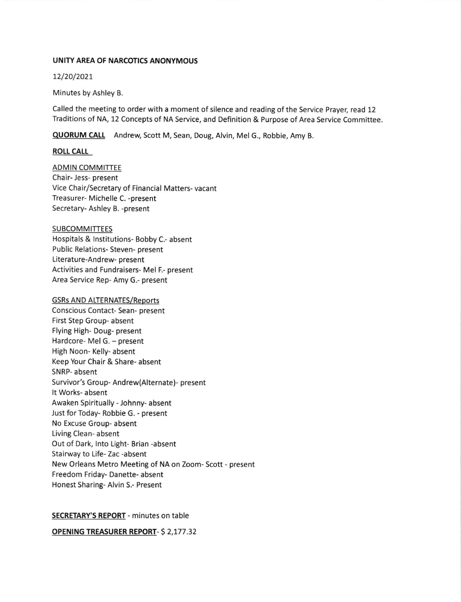#### UNITY AREA OF NARCOTICS ANONYMOUS

L2/20/2027

Minutes by Ashley B.

Called the meeting to order with a moment of silence and reading of the Service Prayer, read 12 Traditions of NA, 12 Concepts of NA Service, and Definition & Purpose of Area Service Committee.

QUORUM CALL Andrew, Scott M, Sean, Doug, Alvin, Mel G., Robbie, Amy B.

## ROtL CALL

ADMIN COMMITTEE Chair- Jess- present Vice Chair/Secretary of Financial Matters- vacant Treasurer- Michelle C. -present Secretary- Ashley B. -present

## SUBCOMMITTEES

Hospitals & lnstitutions- Bobby C.- absent Public Relations- Steven- present Literature-Andrew- present Activities and Fundraisers- Mel F.- present Area Service Rep- Amy G.- present

#### **GSRs AND ALTERNATES/Reports**

Conscious Contact- Sean- present First Step Group- absent Flying High- Doug- present Hardcore- Mel G. - present High Noon- Kelly- absent Keep Your Chair & Share- absent SNRP- absent Survivor's Group- Andrew(Alternate)- present It Works- absent Awaken Spiritually - Johnny- absent Just for Today- Robbie G. - present No Excuse Group- absent Living Clean- absent Out of Dark, lnto Light- Brian -absent Stairway to Life- Zac -absent New Orleans Metro Meeting of NA on Zoom- Scott - present Freedom Friday- Danette- absent Honest Sharing- Alvin S.- Present

# SECRETARY'S REPORT - minutes on table

OPENING TREASURER REPORT- \$ 2,177.32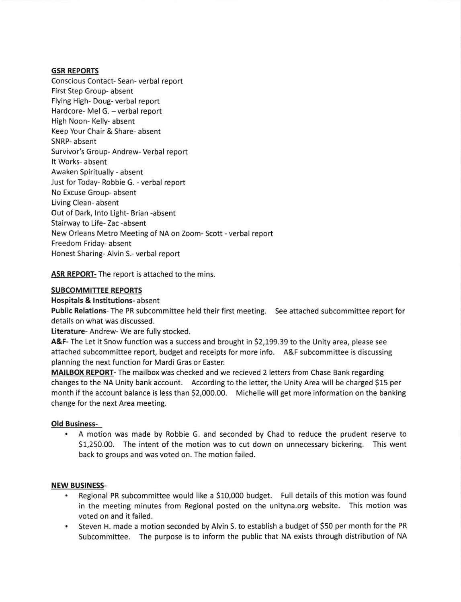#### GSR REPORTS

Conscious Contact- Sean- verbal report First Step Group- absent Flying High- Doug- verbal report Hardcore- Mel G. - verbal report High Noon- Kelly- absent Keep Your Chair & Share- absent SNRP- absent Survivor's Group- Andrew- Verbal report It Works- absent Awaken Spiritually - absent Just for Today- Robbie G. - verbal report No Excuse Group- absent Living Clean- absent Out of Dark, lnto Light- Brian -absent Stairway to Life- Zac -absent New Orleans Metro Meeting of NA on Zoom- Scott - verbal report Freedom Friday- absent Honest Sharing- Alvin S.- verbal report

ASR REPORT- The report is attached to the mins.

## SUBCOMMITTEE REPORTS

Hospitals & lnstitutions- absent

Public Relations- The PR subcommittee held their first meeting. See attached subcommittee report for details on what was discussed.

Literature- Andrew- We are fully stocked.

A&F- The Let it Snow function was a success and brought in \$2,199.39 to the Unity area, please see attached subcommittee report, budget and receipts for more info. A&F subcommittee is discussing planning the next function for Mardi Gras or Easter.

MAILBOX REPORT- The mailbox was checked and we recieved 2 letters from Chase Bank regarding changes to the NA Unity bank account. According to the letter, the Unity Area will be charged \$15 per month if the account balance is less than \$2,000.00. Michelle will get more information on the banking change for the next Area meeting.

# Old Business-

A motion was made by Robbie G. and seconded by Chad to reduce the prudent reserve to 51,250.00. The intent of the motion was to cut down on unnecessary bickering. This went back to groups and was voted on. The motion failed.

#### NEW BUSINESS-

- Regional PR subcommittee would like a \$10,000 budget. Full details of this motion was found in the meeting minutes from Regional posted on the unityna.org website. This motion was voted on and it failed.
- Steven H. made a motion seconded by Alvin S. to establish a budget of 550 per month for the PR Subcommittee. The purpose is to inform the public that NA exists through distribution of NA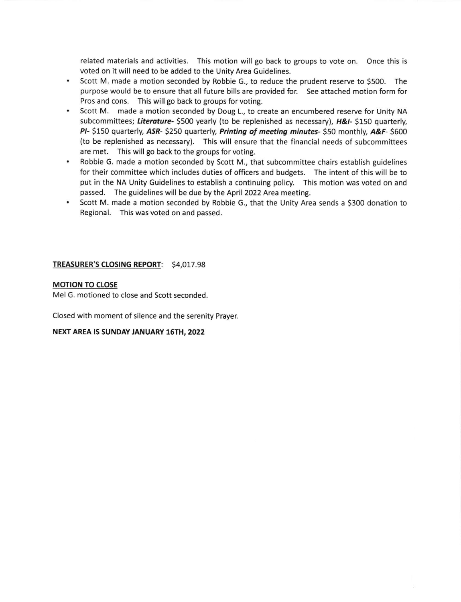related materials and activities. This motion will go back to groups to vote on. Once this is voted on it will need to be added to the Unity Area Guidelines.

- $\bullet$ Scott M. made a motion seconded by Robbie G., to reduce the prudent reserve to 5500. The purpose would be to ensure that all future bills are provided for. See attached motion form for Pros and cons. This will go back to groups for voting.
- Scott M. made a motion seconded by Doug L., to create an encumbered reserve for Unity NA subcommittees; Literature- \$500 yearly (to be replenished as necessary),  $H\&L$ - \$150 quarterly, PI- \$150 quarterly, ASR- \$250 quarterly, Printing of meeting minutes- \$50 monthly, A&F- \$600 (to be replenished as necessary). This will ensure that the financial needs of subcommittees are met. This will go back to the groups for voting.
- $\bullet$ Robbie G. made a motion seconded by Scott M., that subcommittee chairs establish guidelines for their committee which includes duties of officers and budgets. The intent of this will be to put in the NA Unity Guidelines to establish a continuing policy. This motion was voted on and passed. The guidelines will be due by the April 2022 Area meeting.
- $\bullet$ Scott M. made a motion seconded by Robbie G., that the Unity Area sends a 5300 donation to Regional. This was voted on and passed.

## TREASURER'S CLOSING REPORT: 54,017.98

## **MOTION TO CLOSE**

Mel G. motioned to close and Scott seconded

Closed with moment of silence and the serenity Prayer

#### NEXT AREA IS SUNDAY JANUARY 16TH, 2022